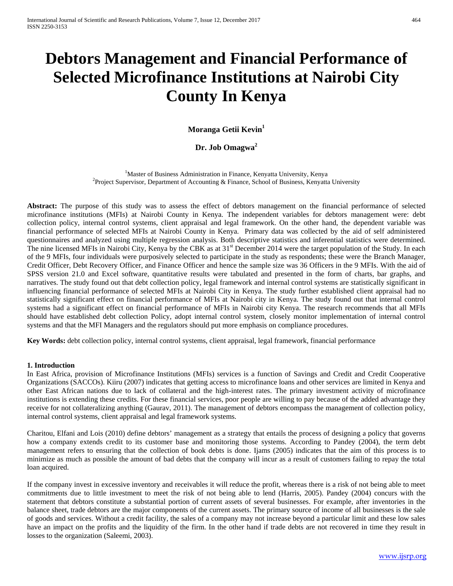# **Debtors Management and Financial Performance of Selected Microfinance Institutions at Nairobi City County In Kenya**

# **Moranga Getii Kevin1**

# **Dr. Job Omagwa<sup>2</sup>**

<sup>1</sup>Master of Business Administration in Finance, Kenyatta University, Kenya<sup>2</sup>Project Supervisor, Department of Accounting & Finance, School of Business, Kenyatt <sup>2</sup> Project Supervisor, Department of Accounting & Finance, School of Business, Kenyatta University

**Abstract:** The purpose of this study was to assess the effect of debtors management on the financial performance of selected microfinance institutions (MFIs) at Nairobi County in Kenya. The independent variables for debtors management were: debt collection policy, internal control systems, client appraisal and legal framework. On the other hand, the dependent variable was financial performance of selected MFIs at Nairobi County in Kenya. Primary data was collected by the aid of self administered questionnaires and analyzed using multiple regression analysis. Both descriptive statistics and inferential statistics were determined. The nine licensed MFIs in Nairobi City, Kenya by the CBK as at 31<sup>st</sup> December 2014 were the target population of the Study. In each of the 9 MFIs, four individuals were purposively selected to participate in the study as respondents; these were the Branch Manager, Credit Officer, Debt Recovery Officer, and Finance Officer and hence the sample size was 36 Officers in the 9 MFIs. With the aid of SPSS version 21.0 and Excel software, quantitative results were tabulated and presented in the form of charts, bar graphs, and narratives. The study found out that debt collection policy, legal framework and internal control systems are statistically significant in influencing financial performance of selected MFIs at Nairobi City in Kenya. The study further established client appraisal had no statistically significant effect on financial performance of MFIs at Nairobi city in Kenya. The study found out that internal control systems had a significant effect on financial performance of MFIs in Nairobi city Kenya. The research recommends that all MFIs should have established debt collection Policy, adopt internal control system, closely monitor implementation of internal control systems and that the MFI Managers and the regulators should put more emphasis on compliance procedures.

**Key Words:** debt collection policy, internal control systems, client appraisal, legal framework, financial performance

#### **1. Introduction**

In East Africa, provision of Microfinance Institutions (MFIs) services is a function of Savings and Credit and Credit Cooperative Organizations (SACCOs). Kiiru (2007) indicates that getting access to microfinance loans and other services are limited in Kenya and other East African nations due to lack of collateral and the high-interest rates. The primary investment activity of microfinance institutions is extending these credits. For these financial services, poor people are willing to pay because of the added advantage they receive for not collateralizing anything (Gaurav, 2011). The management of debtors encompass the management of collection policy, internal control systems, client appraisal and legal framework systems.

Charitou, Elfani and Lois (2010) define debtors' management as a strategy that entails the process of designing a policy that governs how a company extends credit to its customer base and monitoring those systems. According to Pandey (2004), the term debt management refers to ensuring that the collection of book debts is done. Ijams (2005) indicates that the aim of this process is to minimize as much as possible the amount of bad debts that the company will incur as a result of customers failing to repay the total loan acquired.

If the company invest in excessive inventory and receivables it will reduce the profit, whereas there is a risk of not being able to meet commitments due to little investment to meet the risk of not being able to lend (Harris, 2005). Pandey (2004) concurs with the statement that debtors constitute a substantial portion of current assets of several businesses. For example, after inventories in the balance sheet, trade debtors are the major components of the current assets. The primary source of income of all businesses is the sale of goods and services. Without a credit facility, the sales of a company may not increase beyond a particular limit and these low sales have an impact on the profits and the liquidity of the firm. In the other hand if trade debts are not recovered in time they result in losses to the organization (Saleemi, 2003).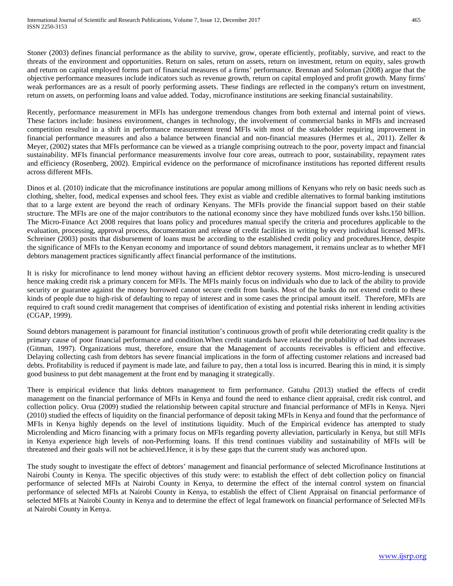Stoner (2003) defines financial performance as the ability to survive, grow, operate efficiently, profitably, survive, and react to the threats of the environment and opportunities. Return on sales, return on assets, return on investment, return on equity, sales growth and return on capital employed forms part of financial measures of a firms' performance. Brennan and Soloman (2008) argue that the objective performance measures include indicators such as revenue growth, return on capital employed and profit growth. Many firms' weak performances are as a result of poorly performing assets. These findings are reflected in the company's return on investment, return on assets, on performing loans and value added. Today, microfinance institutions are seeking financial sustainability.

Recently, performance measurement in MFIs has undergone tremendous changes from both external and internal point of views. These factors include: business environment, changes in technology, the involvement of commercial banks in MFIs and increased competition resulted in a shift in performance measurement trend MFIs with most of the stakeholder requiring improvement in financial performance measures and also a balance between financial and non-financial measures (Hermes et al., 2011). Zeller & Meyer, (2002) states that MFIs performance can be viewed as a triangle comprising outreach to the poor, poverty impact and financial sustainability. MFIs financial performance measurements involve four core areas, outreach to poor, sustainability, repayment rates and efficiency (Rosenberg, 2002). Empirical evidence on the performance of microfinance institutions has reported different results across different MFIs.

Dinos et al. (2010) indicate that the microfinance institutions are popular among millions of Kenyans who rely on basic needs such as clothing, shelter, food, medical expenses and school fees. They exist as viable and credible alternatives to formal banking institutions that to a large extent are beyond the reach of ordinary Kenyans. The MFIs provide the financial support based on their stable structure. The MFIs are one of the major contributors to the national economy since they have mobilized funds over kshs.150 billion. The Micro-Finance Act 2008 requires that loans policy and procedures manual specify the criteria and procedures applicable to the evaluation, processing, approval process, documentation and release of credit facilities in writing by every individual licensed MFIs. Schreiner (2003) posits that disbursement of loans must be according to the established credit policy and procedures.Hence, despite the significance of MFIs to the Kenyan economy and importance of sound debtors management, it remains unclear as to whether MFI debtors management practices significantly affect financial performance of the institutions.

It is risky for microfinance to lend money without having an efficient debtor recovery systems. Most micro-lending is unsecured hence making credit risk a primary concern for MFIs. The MFIs mainly focus on individuals who due to lack of the ability to provide security or guarantee against the money borrowed cannot secure credit from banks. Most of the banks do not extend credit to these kinds of people due to high-risk of defaulting to repay of interest and in some cases the principal amount itself. Therefore, MFIs are required to craft sound credit management that comprises of identification of existing and potential risks inherent in lending activities (CGAP, 1999).

Sound debtors management is paramount for financial institution's continuous growth of profit while deteriorating credit quality is the primary cause of poor financial performance and condition.When credit standards have relaxed the probability of bad debts increases (Gitman, 1997). Organizations must, therefore, ensure that the Management of accounts receivables is efficient and effective. Delaying collecting cash from debtors has severe financial implications in the form of affecting customer relations and increased bad debts. Profitability is reduced if payment is made late, and failure to pay, then a total loss is incurred. Bearing this in mind, it is simply good business to put debt management at the front end by managing it strategically.

There is empirical evidence that links debtors management to firm performance. Gatuhu (2013) studied the effects of credit management on the financial performance of MFIs in Kenya and found the need to enhance client appraisal, credit risk control, and collection policy. Orua (2009) studied the relationship between capital structure and financial performance of MFIs in Kenya. Njeri (2010) studied the effects of liquidity on the financial performance of deposit taking MFIs in Kenya and found that the performance of MFIs in Kenya highly depends on the level of institutions liquidity. Much of the Empirical evidence has attempted to study Microlending and Micro financing with a primary focus on MFIs regarding poverty alleviation, particularly in Kenya, but still MFIs in Kenya experience high levels of non-Performing loans. If this trend continues viability and sustainability of MFIs will be threatened and their goals will not be achieved.Hence, it is by these gaps that the current study was anchored upon.

The study sought to investigate the effect of debtors' management and financial performance of selected Microfinance Institutions at Nairobi County in Kenya. The specific objectives of this study were: to establish the effect of debt collection policy on financial performance of selected MFIs at Nairobi County in Kenya, to determine the effect of the internal control system on financial performance of selected MFIs at Nairobi County in Kenya, to establish the effect of Client Appraisal on financial performance of selected MFIs at Nairobi County in Kenya and to determine the effect of legal framework on financial performance of Selected MFIs at Nairobi County in Kenya.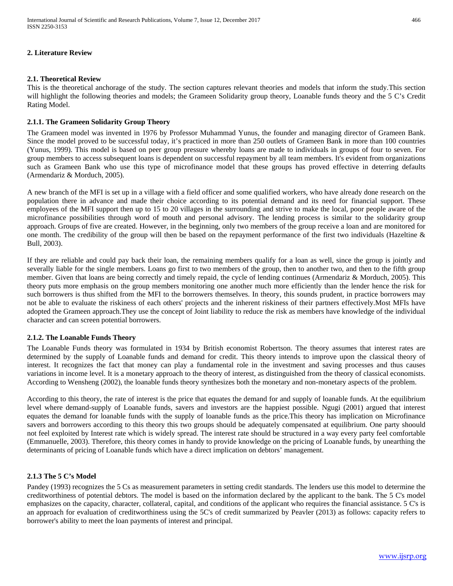# **2. Literature Review**

# **2.1. Theoretical Review**

This is the theoretical anchorage of the study. The section captures relevant theories and models that inform the study.This section will highlight the following theories and models; the Grameen Solidarity group theory, Loanable funds theory and the 5 C's Credit Rating Model.

# **2.1.1. The Grameen Solidarity Group Theory**

The Grameen model was invented in 1976 by Professor Muhammad Yunus, the founder and managing director of Grameen Bank. Since the model proved to be successful today, it's practiced in more than 250 outlets of Grameen Bank in more than 100 countries (Yunus, 1999). This model is based on peer group pressure whereby loans are made to individuals in groups of four to seven. For group members to access subsequent loans is dependent on successful repayment by all team members. It's evident from organizations such as Grameen Bank who use this type of microfinance model that these groups has proved effective in deterring defaults (Armendariz & Morduch, 2005).

A new branch of the MFI is set up in a village with a field officer and some qualified workers, who have already done research on the population there in advance and made their choice according to its potential demand and its need for financial support. These employees of the MFI support then up to 15 to 20 villages in the surrounding and strive to make the local, poor people aware of the microfinance possibilities through word of mouth and personal advisory. The lending process is similar to the solidarity group approach. Groups of five are created. However, in the beginning, only two members of the group receive a loan and are monitored for one month. The credibility of the group will then be based on the repayment performance of the first two individuals (Hazeltine  $\&$ Bull, 2003).

If they are reliable and could pay back their loan, the remaining members qualify for a loan as well, since the group is jointly and severally liable for the single members. Loans go first to two members of the group, then to another two, and then to the fifth group member. Given that loans are being correctly and timely repaid, the cycle of lending continues (Armendariz & Morduch, 2005). This theory puts more emphasis on the group members monitoring one another much more efficiently than the lender hence the risk for such borrowers is thus shifted from the MFI to the borrowers themselves. In theory, this sounds prudent, in practice borrowers may not be able to evaluate the riskiness of each others' projects and the inherent riskiness of their partners effectively.Most MFIs have adopted the Grameen approach.They use the concept of Joint liability to reduce the risk as members have knowledge of the individual character and can screen potential borrowers.

#### **2.1.2. The Loanable Funds Theory**

The Loanable Funds theory was formulated in 1934 by British economist Robertson. The theory assumes that interest rates are determined by the supply of Loanable funds and demand for credit. This theory intends to improve upon the classical theory of interest. It recognizes the fact that money can play a fundamental role in the investment and saving processes and thus causes variations in income level. It is a monetary approach to the theory of interest, as distinguished from the theory of classical economists. According to Wensheng (2002), the loanable funds theory synthesizes both the monetary and non-monetary aspects of the problem.

According to this theory, the rate of interest is the price that equates the demand for and supply of loanable funds. At the equilibrium level where demand-supply of Loanable funds, savers and investors are the happiest possible. Ngugi (2001) argued that interest equates the demand for loanable funds with the supply of loanable funds as the price.This theory has implication on Microfinance savers and borrowers according to this theory this two groups should be adequately compensated at equilibrium. One party shoould not feel exploited by Interest rate which is widely spread. The interest rate should be structured in a way every party feel comfortable (Emmanuelle, 2003). Therefore, this theory comes in handy to provide knowledge on the pricing of Loanable funds, by unearthing the determinants of pricing of Loanable funds which have a direct implication on debtors' management.

# **2.1.3 The 5 C's Model**

Pandey (1993) recognizes the 5 Cs as measurement parameters in setting credit standards. The lenders use this model to determine the creditworthiness of potential debtors. The model is based on the information declared by the applicant to the bank. The 5 C's model emphasizes on the capacity, character, collateral, capital, and conditions of the applicant who requires the financial assistance. 5 C's is an approach for evaluation of creditworthiness using the 5C's of credit summarized by Peavler (2013) as follows: capacity refers to borrower's ability to meet the loan payments of interest and principal.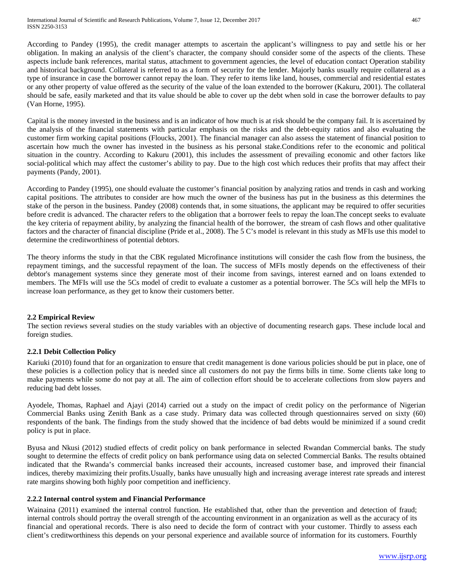According to Pandey (1995), the credit manager attempts to ascertain the applicant's willingness to pay and settle his or her obligation. In making an analysis of the client's character, the company should consider some of the aspects of the clients. These aspects include bank references, marital status, attachment to government agencies, the level of education contact Operation stability and historical background. Collateral is referred to as a form of security for the lender. Majorly banks usually require collateral as a type of insurance in case the borrower cannot repay the loan. They refer to items like land, houses, commercial and residential estates or any other property of value offered as the security of the value of the loan extended to the borrower (Kakuru, 2001). The collateral should be safe, easily marketed and that its value should be able to cover up the debt when sold in case the borrower defaults to pay (Van Horne, 1995).

Capital is the money invested in the business and is an indicator of how much is at risk should be the company fail. It is ascertained by the analysis of the financial statements with particular emphasis on the risks and the debt-equity ratios and also evaluating the customer firm working capital positions (Floucks, 2001). The financial manager can also assess the statement of financial position to ascertain how much the owner has invested in the business as his personal stake.Conditions refer to the economic and political situation in the country. According to Kakuru (2001), this includes the assessment of prevailing economic and other factors like social-political which may affect the customer's ability to pay. Due to the high cost which reduces their profits that may affect their payments (Pandy, 2001).

According to Pandey (1995), one should evaluate the customer's financial position by analyzing ratios and trends in cash and working capital positions. The attributes to consider are how much the owner of the business has put in the business as this determines the stake of the person in the business. Pandey (2008) contends that, in some situations, the applicant may be required to offer securities before credit is advanced. The character refers to the obligation that a borrower feels to repay the loan.The concept seeks to evaluate the key criteria of repayment ability, by analyzing the financial health of the borrower, the stream of cash flows and other qualitative factors and the character of financial discipline (Pride et al., 2008). The 5 C's model is relevant in this study as MFIs use this model to determine the creditworthiness of potential debtors.

The theory informs the study in that the CBK regulated Microfinance institutions will consider the cash flow from the business, the repayment timings, and the successful repayment of the loan. The success of MFIs mostly depends on the effectiveness of their debtor's management systems since they generate most of their income from savings, interest earned and on loans extended to members. The MFIs will use the 5Cs model of credit to evaluate a customer as a potential borrower. The 5Cs will help the MFIs to increase loan performance, as they get to know their customers better.

# **2.2 Empirical Review**

The section reviews several studies on the study variables with an objective of documenting research gaps. These include local and foreign studies.

# **2.2.1 Debit Collection Policy**

Kariuki (2010) found that for an organization to ensure that credit management is done various policies should be put in place, one of these policies is a collection policy that is needed since all customers do not pay the firms bills in time. Some clients take long to make payments while some do not pay at all. The aim of collection effort should be to accelerate collections from slow payers and reducing bad debt losses.

Ayodele, Thomas, Raphael and Ajayi (2014) carried out a study on the impact of credit policy on the performance of Nigerian Commercial Banks using Zenith Bank as a case study. Primary data was collected through questionnaires served on sixty (60) respondents of the bank. The findings from the study showed that the incidence of bad debts would be minimized if a sound credit policy is put in place.

Byusa and Nkusi (2012) studied effects of credit policy on bank performance in selected Rwandan Commercial banks. The study sought to determine the effects of credit policy on bank performance using data on selected Commercial Banks. The results obtained indicated that the Rwanda's commercial banks increased their accounts, increased customer base, and improved their financial indices, thereby maximizing their profits.Usually, banks have unusually high and increasing average interest rate spreads and interest rate margins showing both highly poor competition and inefficiency.

#### **2.2.2 Internal control system and Financial Performance**

Wainaina (2011) examined the internal control function. He established that, other than the prevention and detection of fraud; internal controls should portray the overall strength of the accounting environment in an organization as well as the accuracy of its financial and operational records. There is also need to decide the form of contract with your customer. Thirdly to assess each client's creditworthiness this depends on your personal experience and available source of information for its customers. Fourthly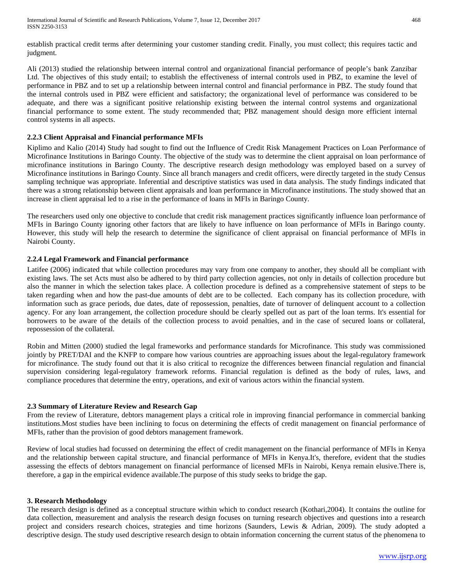establish practical credit terms after determining your customer standing credit. Finally, you must collect; this requires tactic and judgment.

Ali (2013) studied the relationship between internal control and organizational financial performance of people's bank Zanzibar Ltd. The objectives of this study entail; to establish the effectiveness of internal controls used in PBZ, to examine the level of performance in PBZ and to set up a relationship between internal control and financial performance in PBZ. The study found that the internal controls used in PBZ were efficient and satisfactory; the organizational level of performance was considered to be adequate, and there was a significant positive relationship existing between the internal control systems and organizational financial performance to some extent. The study recommended that; PBZ management should design more efficient internal control systems in all aspects.

#### **2.2.3 Client Appraisal and Financial performance MFIs**

Kiplimo and Kalio (2014) Study had sought to find out the Influence of Credit Risk Management Practices on Loan Performance of Microfinance Institutions in Baringo County. The objective of the study was to determine the client appraisal on loan performance of microfinance institutions in Baringo County. The descriptive research design methodology was employed based on a survey of Microfinance institutions in Baringo County. Since all branch managers and credit officers, were directly targeted in the study Census sampling technique was appropriate. Inferential and descriptive statistics was used in data analysis. The study findings indicated that there was a strong relationship between client appraisals and loan performance in Microfinance institutions. The study showed that an increase in client appraisal led to a rise in the performance of loans in MFIs in Baringo County.

The researchers used only one objective to conclude that credit risk management practices significantly influence loan performance of MFIs in Baringo County ignoring other factors that are likely to have influence on loan performance of MFIs in Baringo county. However, this study will help the research to determine the significance of client appraisal on financial performance of MFIs in Nairobi County.

#### **2.2.4 Legal Framework and Financial performance**

Latifee (2006) indicated that while collection procedures may vary from one company to another, they should all be compliant with existing laws. The set Acts must also be adhered to by third party collection agencies, not only in details of collection procedure but also the manner in which the selection takes place. A collection procedure is defined as a comprehensive statement of steps to be taken regarding when and how the past-due amounts of debt are to be collected. Each company has its collection procedure, with information such as grace periods, due dates, date of repossession, penalties, date of turnover of delinquent account to a collection agency. For any loan arrangement, the collection procedure should be clearly spelled out as part of the loan terms. It's essential for borrowers to be aware of the details of the collection process to avoid penalties, and in the case of secured loans or collateral, repossession of the collateral.

Robin and Mitten (2000) studied the legal frameworks and performance standards for Microfinance. This study was commissioned jointly by PRET/DAI and the KNFP to compare how various countries are approaching issues about the legal-regulatory framework for microfinance. The study found out that it is also critical to recognize the differences between financial regulation and financial supervision considering legal-regulatory framework reforms. Financial regulation is defined as the body of rules, laws, and compliance procedures that determine the entry, operations, and exit of various actors within the financial system.

# **2.3 Summary of Literature Review and Research Gap**

From the review of Literature, debtors management plays a critical role in improving financial performance in commercial banking institutions.Most studies have been inclining to focus on determining the effects of credit management on financial performance of MFIs, rather than the provision of good debtors management framework.

Review of local studies had focussed on determining the effect of credit management on the financial performance of MFIs in Kenya and the relationship between capital structure, and financial performance of MFIs in Kenya.It's, therefore, evident that the studies assessing the effects of debtors management on financial performance of licensed MFIs in Nairobi, Kenya remain elusive.There is, therefore, a gap in the empirical evidence available.The purpose of this study seeks to bridge the gap.

#### **3. Research Methodology**

The research design is defined as a conceptual structure within which to conduct research (Kothari,2004). It contains the outline for data collection, measurement and analysis the research design focuses on turning research objectives and questions into a research project and considers research choices, strategies and time horizons (Saunders, Lewis & Adrian, 2009). The study adopted a descriptive design. The study used descriptive research design to obtain information concerning the current status of the phenomena to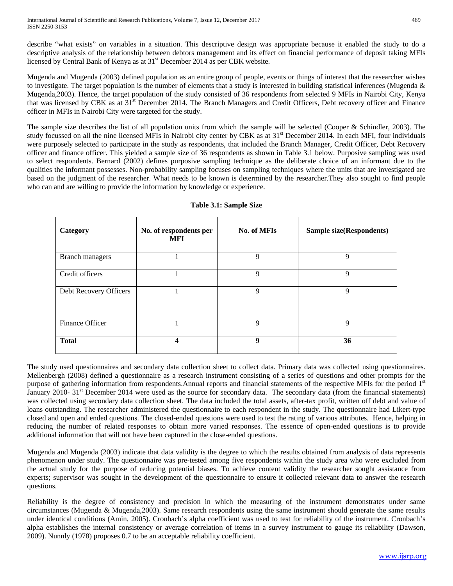describe "what exists" on variables in a situation. This descriptive design was appropriate because it enabled the study to do a descriptive analysis of the relationship between debtors management and its effect on financial performance of deposit taking MFIs licensed by Central Bank of Kenya as at  $31<sup>st</sup>$  December 2014 as per CBK website.

Mugenda and Mugenda (2003) defined population as an entire group of people, events or things of interest that the researcher wishes to investigate. The target population is the number of elements that a study is interested in building statistical inferences (Mugenda  $\&$ Mugenda,2003). Hence, the target population of the study consisted of 36 respondents from selected 9 MFIs in Nairobi City, Kenya that was licensed by CBK as at  $31<sup>st</sup>$  December 2014. The Branch Managers and Credit Officers, Debt recovery officer and Finance officer in MFIs in Nairobi City were targeted for the study.

The sample size describes the list of all population units from which the sample will be selected (Cooper & Schindler, 2003). The study focussed on all the nine licensed MFIs in Nairobi city center by CBK as at  $31<sup>st</sup>$  December 2014. In each MFI, four individuals were purposely selected to participate in the study as respondents, that included the Branch Manager, Credit Officer, Debt Recovery officer and finance officer. This yielded a sample size of 36 respondents as shown in Table 3.1 below. Purposive sampling was used to select respondents. Bernard (2002) defines purposive sampling technique as the deliberate choice of an informant due to the qualities the informant possesses. Non-probability sampling focuses on sampling techniques where the units that are investigated are based on the judgment of the researcher. What needs to be known is determined by the researcher.They also sought to find people who can and are willing to provide the information by knowledge or experience.

| Category               | No. of respondents per<br><b>MFI</b> | No. of MFIs |    |
|------------------------|--------------------------------------|-------------|----|
| <b>Branch managers</b> |                                      | 9           | 9  |
| Credit officers        |                                      | 9           | 9  |
| Debt Recovery Officers |                                      | 9           | 9  |
| Finance Officer        |                                      | 9           | 9  |
| <b>Total</b>           | 4                                    | 9           | 36 |

# **Table 3.1: Sample Size**

The study used questionnaires and secondary data collection sheet to collect data. Primary data was collected using questionnaires. Mellenbergh (2008) defined a questionnaire as a [research](https://en.wikipedia.org/wiki/Research) instrument consisting of a series of [questions](https://en.wikipedia.org/wiki/Question) and other prompts for the purpose of gathering [information](https://en.wikipedia.org/wiki/Information) from respondents.Annual reports and financial statements of the respective MFIs for the period 1st January 2010-  $31<sup>st</sup>$  December 2014 were used as the source for secondary data. The secondary data (from the financial statements) was collected using secondary data collection sheet. The data included the total assets, after-tax profit, written off debt and value of loans outstanding. The researcher administered the questionnaire to each respondent in the study. The questionnaire had Likert-type closed and open and ended questions. The closed-ended questions were used to test the rating of various attributes. Hence, helping in reducing the number of related responses to obtain more varied responses. The essence of open-ended questions is to provide additional information that will not have been captured in the close-ended questions.

Mugenda and Mugenda (2003) indicate that data validity is the degree to which the results obtained from analysis of data represents phenomenon under study. The questionnaire was pre-tested among five respondents within the study area who were excluded from the actual study for the purpose of reducing potential biases. To achieve content validity the researcher sought assistance from experts; supervisor was sought in the development of the questionnaire to ensure it collected relevant data to answer the research questions.

Reliability is the degree of consistency and precision in which the measuring of the instrument demonstrates under same circumstances (Mugenda & Mugenda,2003). Same research respondents using the same instrument should generate the same results under identical conditions (Amin, 2005). Cronbach's alpha coefficient was used to test for reliability of the instrument. Cronbach's alpha establishes the internal consistency or average correlation of items in a survey instrument to gauge its reliability (Dawson, 2009). Nunnly (1978) proposes 0.7 to be an acceptable reliability coefficient.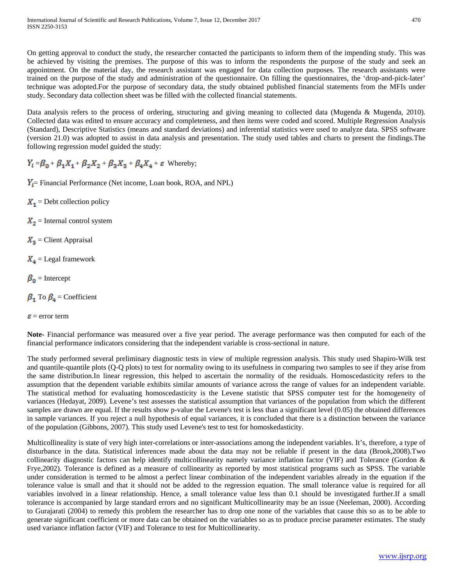On getting approval to conduct the study, the researcher contacted the participants to inform them of the impending study. This was be achieved by visiting the premises. The purpose of this was to inform the respondents the purpose of the study and seek an appointment. On the material day, the research assistant was engaged for data collection purposes. The research assistants were trained on the purpose of the study and administration of the questionnaire. On filling the questionnaires, the 'drop-and-pick-later' technique was adopted.For the purpose of secondary data, the study obtained published financial statements from the MFIs under study. Secondary data collection sheet was be filled with the collected financial statements.

Data analysis refers to the process of ordering, structuring and giving meaning to collected data (Mugenda & Mugenda, 2010). Collected data was edited to ensure accuracy and completeness, and then items were coded and scored. Multiple Regression Analysis (Standard), Descriptive Statistics (means and standard deviations) and inferential statistics were used to analyze data. SPSS software (version 21.0) was adopted to assist in data analysis and presentation. The study used tables and charts to present the findings.The following regression model guided the study:

 $Y_i = \beta_0 + \beta_1 X_1 + \beta_2 X_2 + \beta_3 X_3 + \beta_4 X_4 + \varepsilon$  Whereby;

 $Y_i$  Financial Performance (Net income, Loan book, ROA, and NPL)

 $X_1$  = Debt collection policy

 $X_2$  = Internal control system

 $X_{\overline{3}}$  = Client Appraisal

 $X_4$  = Legal framework

 $\beta_0$  = Intercept

 $\beta_1$  To  $\beta_4$  = Coefficient

 $\epsilon$  = error term

**Note-** Financial performance was measured over a five year period. The average performance was then computed for each of the financial performance indicators considering that the independent variable is cross-sectional in nature.

The study performed several preliminary diagnostic tests in view of multiple regression analysis. This study used Shapiro-Wilk test and quantile-quantile plots (Q-Q plots) to test for normality owing to its usefulness in comparing two samples to see if they arise from the same distribution.In linear regression, this helped to ascertain the normality of the residuals. Homoscedasticity refers to the assumption that the dependent variable exhibits similar amounts of variance across the range of values for an independent variable. The statistical method for evaluating homoscedasticity is the Levene statistic that SPSS computer test for the homogeneity of variances (Hedayat, 2009). Levene's test assesses the statistical assumption that variances of the population from which the different samples are drawn are equal. If the results show p-value the Levene's test is less than a significant level (0.05) the obtained differences in sample variances. If you reject a null hypothesis of equal variances, it is concluded that there is a distinction between the variance of the population (Gibbons, 2007). This study used Levene's test to test for homoskedasticity.

Multicollineality is state of very high inter-correlations or inter-associations among the independent variables. It's, therefore, a type of disturbance in the data. Statistical inferences made about the data may not be reliable if present in the data (Brook,2008).Two collinearity diagnostic factors can help identify multicollinearity namely variance inflation factor (VIF) and Tolerance (Gordon & Frye,2002). Tolerance is defined as a measure of collinearity as reported by most statistical programs such as SPSS. The variable under consideration is termed to be almost a perfect linear combination of the independent variables already in the equation if the tolerance value is small and that it should not be added to the regression equation. The small tolerance value is required for all variables involved in a linear relationship. Hence, a small tolerance value less than 0.1 should be investigated further.If a small tolerance is accompanied by large standard errors and no significant Multicollinearity may be an issue (Neeleman, 2000). According to Gurajarati (2004) to remedy this problem the researcher has to drop one none of the variables that cause this so as to be able to generate significant coefficient or more data can be obtained on the variables so as to produce precise parameter estimates. The study used variance inflation factor (VIF) and Tolerance to test for Multicollinearity.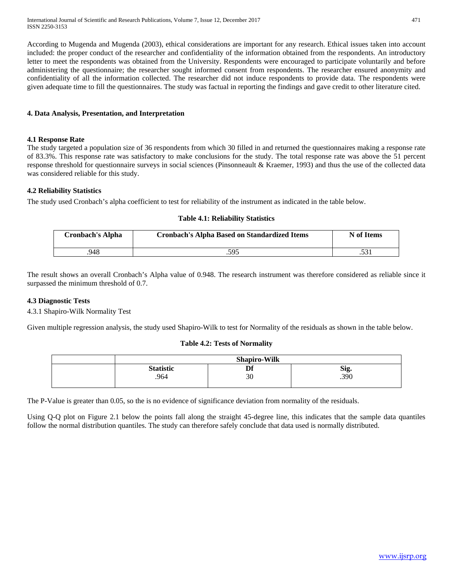International Journal of Scientific and Research Publications, Volume 7, Issue 12, December 2017 471 ISSN 2250-3153

According to Mugenda and Mugenda (2003), ethical considerations are important for any research. Ethical issues taken into account included: the proper conduct of the researcher and confidentiality of the information obtained from the respondents. An introductory letter to meet the respondents was obtained from the University. Respondents were encouraged to participate voluntarily and before administering the questionnaire; the researcher sought informed consent from respondents. The researcher ensured anonymity and confidentiality of all the information collected. The researcher did not induce respondents to provide data. The respondents were given adequate time to fill the questionnaires. The study was factual in reporting the findings and gave credit to other literature cited.

#### **4. Data Analysis, Presentation, and Interpretation**

#### **4.1 Response Rate**

The study targeted a population size of 36 respondents from which 30 filled in and returned the questionnaires making a response rate of 83.3%. This response rate was satisfactory to make conclusions for the study. The total response rate was above the 51 percent response threshold for questionnaire surveys in social sciences (Pinsonneault & Kraemer, 1993) and thus the use of the collected data was considered reliable for this study.

#### **4.2 Reliability Statistics**

The study used Cronbach's alpha coefficient to test for reliability of the instrument as indicated in the table below.

#### **Table 4.1: Reliability Statistics**

| Cronbach's Alpha | <b>Cronbach's Alpha Based on Standardized Items</b> | N of Items |
|------------------|-----------------------------------------------------|------------|
| 948              | .595                                                | .JJ        |

The result shows an overall Cronbach's Alpha value of 0.948. The research instrument was therefore considered as reliable since it surpassed the minimum threshold of 0.7.

#### **4.3 Diagnostic Tests**

4.3.1 Shapiro-Wilk Normality Test

Given multiple regression analysis, the study used Shapiro-Wilk to test for Normality of the residuals as shown in the table below.

#### **Table 4.2: Tests of Normality**

| <b>Shapiro-Wilk</b> |          |      |  |  |
|---------------------|----------|------|--|--|
| <b>Statistic</b>    | nf<br>IJ | Sig. |  |  |
| .964                | 30       | .390 |  |  |

The P-Value is greater than 0.05, so the is no evidence of significance deviation from normality of the residuals.

Using Q-Q plot on Figure 2.1 below the points fall along the straight 45-degree line, this indicates that the sample data quantiles follow the normal distribution quantiles. The study can therefore safely conclude that data used is normally distributed.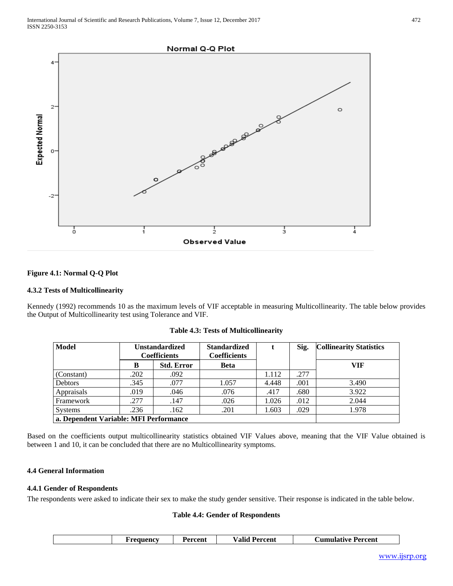

# **Figure 4.1: Normal Q-Q Plot**

#### **4.3.2 Tests of Multicollinearity**

Kennedy (1992) recommends 10 as the maximum levels of VIF acceptable in measuring Multicollinearity. The table below provides the Output of Multicollinearity test using Tolerance and VIF.

| <b>Model</b>                           | <b>Unstandardized</b><br><b>Coefficients</b> |                   | <b>Standardized</b><br><b>Coefficients</b> |       | Sig. | <b>Collinearity Statistics</b> |
|----------------------------------------|----------------------------------------------|-------------------|--------------------------------------------|-------|------|--------------------------------|
|                                        | B                                            | <b>Std. Error</b> | <b>Beta</b>                                |       |      | VIF                            |
| (Constant)                             | .202                                         | .092              |                                            | 1.112 | .277 |                                |
| <b>Debtors</b>                         | .345                                         | .077              | 1.057                                      | 4.448 | .001 | 3.490                          |
| Appraisals                             | .019                                         | .046              | .076                                       | .417  | .680 | 3.922                          |
| Framework                              | .277                                         | .147              | .026                                       | 1.026 | .012 | 2.044                          |
| <b>Systems</b>                         | .236                                         | .162              | .201                                       | 1.603 | .029 | 1.978                          |
| a. Dependent Variable: MFI Performance |                                              |                   |                                            |       |      |                                |

**Table 4.3: Tests of Multicollinearity**

Based on the coefficients output multicollinearity statistics obtained VIF Values above, meaning that the VIF Value obtained is between 1 and 10, it can be concluded that there are no Multicollinearity symptoms.

#### **4.4 General Information**

#### **4.4.1 Gender of Respondents**

The respondents were asked to indicate their sex to make the study gender sensitive. Their response is indicated in the table below.

#### **Table 4.4: Gender of Respondents**

| <b>Valid Percent</b><br><b>Cumulative Percent</b><br>Percent<br>requencv |
|--------------------------------------------------------------------------|
|--------------------------------------------------------------------------|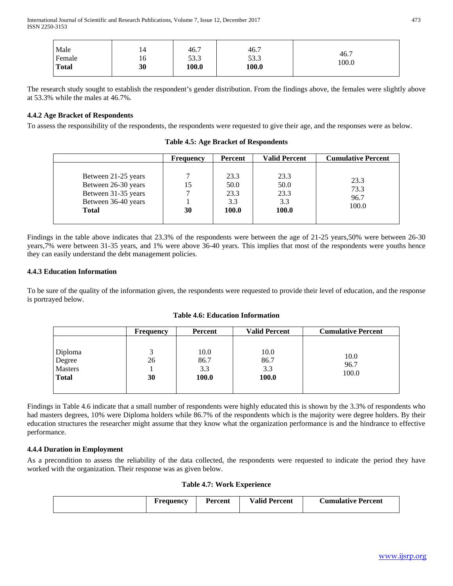International Journal of Scientific and Research Publications, Volume 7, Issue 12, December 2017 473 ISSN 2250-3153

| Male<br>Female<br><b>Total</b> | 14<br>10<br>30 | 46.7<br>53.3<br>100.0 | 46.7<br>53.3<br>100.0 | 46.7<br>100.0 |
|--------------------------------|----------------|-----------------------|-----------------------|---------------|
|--------------------------------|----------------|-----------------------|-----------------------|---------------|

The research study sought to establish the respondent's gender distribution. From the findings above, the females were slightly above at 53.3% while the males at 46.7%.

# **4.4.2 Age Bracket of Respondents**

To assess the responsibility of the respondents, the respondents were requested to give their age, and the responses were as below.

|                                                                                                          | <b>Frequency</b>   | Percent                              | <b>Valid Percent</b>                 | <b>Cumulative Percent</b>     |
|----------------------------------------------------------------------------------------------------------|--------------------|--------------------------------------|--------------------------------------|-------------------------------|
| Between 21-25 years<br>Between 26-30 years<br>Between 31-35 years<br>Between 36-40 years<br><b>Total</b> | ┑<br>15<br>⇁<br>30 | 23.3<br>50.0<br>23.3<br>3.3<br>100.0 | 23.3<br>50.0<br>23.3<br>3.3<br>100.0 | 23.3<br>73.3<br>96.7<br>100.0 |

**Table 4.5: Age Bracket of Respondents**

Findings in the table above indicates that 23.3% of the respondents were between the age of 21-25 years,50% were between 26-30 years,7% were between 31-35 years, and 1% were above 36-40 years. This implies that most of the respondents were youths hence they can easily understand the debt management policies.

# **4.4.3 Education Information**

To be sure of the quality of the information given, the respondents were requested to provide their level of education, and the response is portrayed below.

| <b>Table 4.6: Education Information</b> |
|-----------------------------------------|
|-----------------------------------------|

|                                              | Frequency | Percent                             | <b>Valid Percent</b>         | <b>Cumulative Percent</b> |
|----------------------------------------------|-----------|-------------------------------------|------------------------------|---------------------------|
| Diploma<br>Degree<br>Masters<br><b>Total</b> | 26<br>30  | 10.0<br>86.7<br>3.3<br><b>100.0</b> | 10.0<br>86.7<br>3.3<br>100.0 | 10.0<br>96.7<br>100.0     |
|                                              |           |                                     |                              |                           |

Findings in Table 4.6 indicate that a small number of respondents were highly educated this is shown by the 3.3% of respondents who had masters degrees, 10% were Diploma holders while 86.7% of the respondents which is the majority were degree holders. By their education structures the researcher might assume that they know what the organization performance is and the hindrance to effective performance.

# **4.4.4 Duration in Employment**

As a precondition to assess the reliability of the data collected, the respondents were requested to indicate the period they have worked with the organization. Their response was as given below.

**Table 4.7: Work Experience**

| Frequency | <b>Percent</b> | <b>Valid Percent</b> | <b>Cumulative Percent</b> |
|-----------|----------------|----------------------|---------------------------|
|           |                |                      |                           |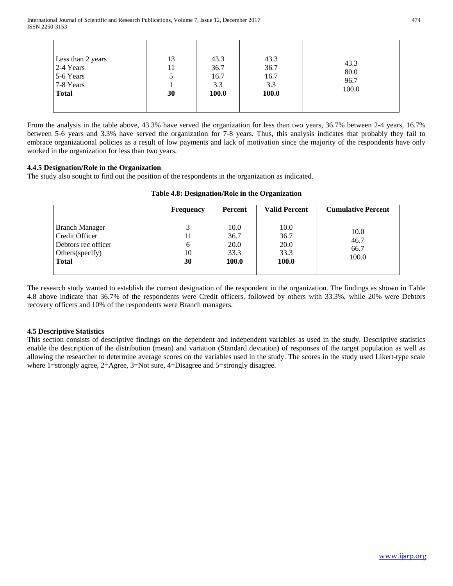| 13<br>Less than 2 years<br>2-4 Years<br>11<br>5-6 Years<br>5<br>7-8 Years<br>30<br><b>Total</b> | 43.3<br>36.7<br>16.7<br>3.3<br><b>100.0</b> | 43.3<br>36.7<br>16.7<br>3.3<br><b>100.0</b> | 43.3<br>80.0<br>96.7<br>100.0 |
|-------------------------------------------------------------------------------------------------|---------------------------------------------|---------------------------------------------|-------------------------------|
|-------------------------------------------------------------------------------------------------|---------------------------------------------|---------------------------------------------|-------------------------------|

From the analysis in the table above, 43.3% have served the organization for less than two years, 36.7% between 2-4 years, 16.7% between 5-6 years and 3.3% have served the organization for 7-8 years. Thus, this analysis indicates that probably they fail to embrace organizational policies as a result of low payments and lack of motivation since the majority of the respondents have only worked in the organization for less than two years.

# **4.4.5 Designation/Role in the Organization**

The study also sought to find out the position of the respondents in the organization as indicated.

|                                                                                                    | <b>Frequency</b>    | <b>Percent</b>                        | <b>Valid Percent</b>                  | <b>Cumulative Percent</b>     |
|----------------------------------------------------------------------------------------------------|---------------------|---------------------------------------|---------------------------------------|-------------------------------|
| <b>Branch Manager</b><br>Credit Officer<br>Debtors rec officer<br>Others (specify)<br><b>Total</b> | 11<br>6<br>10<br>30 | 10.0<br>36.7<br>20.0<br>33.3<br>100.0 | 10.0<br>36.7<br>20.0<br>33.3<br>100.0 | 10.0<br>46.7<br>66.7<br>100.0 |

# **Table 4.8: Designation/Role in the Organization**

The research study wanted to establish the current designation of the respondent in the organization. The findings as shown in Table 4.8 above indicate that 36.7% of the respondents were Credit officers, followed by others with 33.3%, while 20% were Debtors recovery officers and 10% of the respondents were Branch managers.

# **4.5 Descriptive Statistics**

This section consists of descriptive findings on the dependent and independent variables as used in the study. Descriptive statistics enable the description of the distribution (mean) and variation (Standard deviation) of responses of the target population as well as allowing the researcher to determine average scores on the variables used in the study. The scores in the study used Likert-type scale where 1=strongly agree, 2=Agree, 3=Not sure, 4=Disagree and 5=strongly disagree.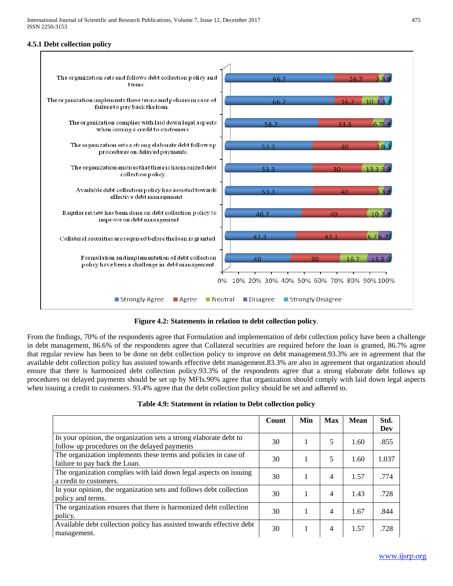# **4.5.1 Debt collection policy**



**Figure 4.2: Statements in relation to debt collection policy***.*

From the findings, 70% of the respondents agree that Formulation and implementation of debt collection policy have been a challenge in debt management, 86.6% of the respondents agree that Collateral securities are required before the loan is granted, 86.7% agree that regular review has been to be done on debt collection policy to improve on debt management.93.3% are in agreement that the available debt collection policy has assisted towards effective debt management.83.3% are also in agreement that organization should ensure that there is harmonized debt collection policy.93.3% of the respondents agree that a strong elaborate debt follows up procedures on delayed payments should be set up by MFIs.90% agree that organization should comply with laid down legal aspects when issuing a credit to customers. 93.4% agree that the debt collection policy should be set and adhered to.

|  | Table 4.9: Statement in relation to Debt collection policy |  |  |  |  |
|--|------------------------------------------------------------|--|--|--|--|
|--|------------------------------------------------------------|--|--|--|--|

|                                                                                                                   | Count | Min | <b>Max</b> | <b>Mean</b> | Std.<br>Dev |
|-------------------------------------------------------------------------------------------------------------------|-------|-----|------------|-------------|-------------|
| In your opinion, the organization sets a strong elaborate debt to<br>follow up procedures on the delayed payments | 30    | 1   | 5          | 1.60        | .855        |
| The organization implements these terms and policies in case of<br>failure to pay back the Loan.                  | 30    |     | 5          | 1.60        | 1.037       |
| The organization complies with laid down legal aspects on issuing<br>a credit to customers.                       | 30    |     | 4          | 1.57        | .774        |
| In your opinion, the organization sets and follows debt collection<br>policy and terms.                           | 30    | 1   | 4          | 1.43        | .728        |
| The organization ensures that there is harmonized debt collection<br>policy.                                      | 30    |     | 4          | 1.67        | .844        |
| Available debt collection policy has assisted towards effective debt<br>management.                               | 30    | 1   | 4          | 1.57        | .728        |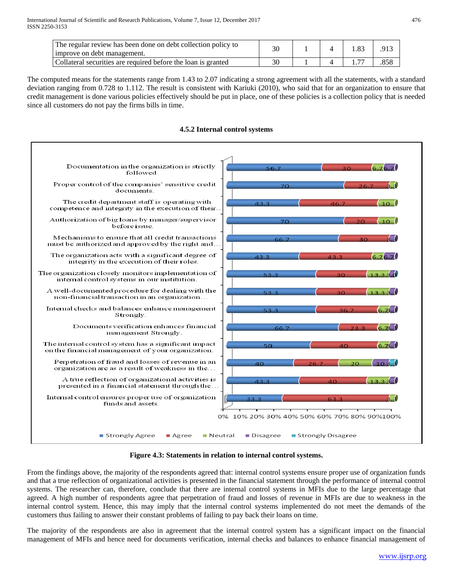| The regular review has been done on debt collection policy to<br>improve on debt management. | 30 |  | .91 |
|----------------------------------------------------------------------------------------------|----|--|-----|
| Collateral securities are required before the loan is granted                                | 30 |  |     |

The computed means for the statements range from 1.43 to 2.07 indicating a strong agreement with all the statements, with a standard deviation ranging from 0.728 to 1.112. The result is consistent with Kariuki (2010), who said that for an organization to ensure that credit management is done various policies effectively should be put in place, one of these policies is a collection policy that is needed since all customers do not pay the firms bills in time.



# **4.5.2 Internal control systems**

**Figure 4.3: Statements in relation to internal control systems.**

From the findings above, the majority of the respondents agreed that: internal control systems ensure proper use of organization funds and that a true reflection of organizational activities is presented in the financial statement through the performance of internal control systems. The researcher can, therefore, conclude that there are internal control systems in MFIs due to the large percentage that agreed. A high number of respondents agree that perpetration of fraud and losses of revenue in MFIs are due to weakness in the internal control system. Hence, this may imply that the internal control systems implemented do not meet the demands of the customers thus failing to answer their constant problems of failing to pay back their loans on time.

The majority of the respondents are also in agreement that the internal control system has a significant impact on the financial management of MFIs and hence need for documents verification, internal checks and balances to enhance financial management of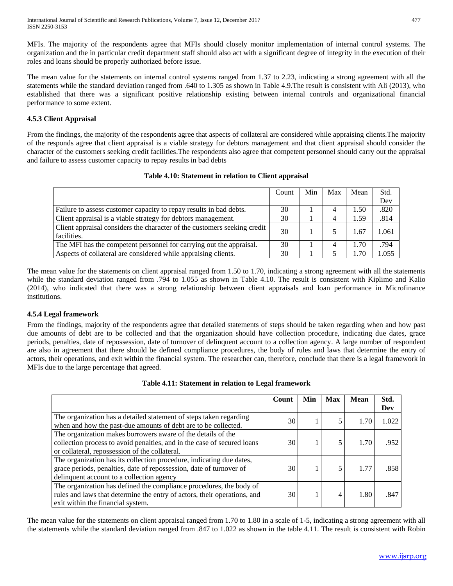MFIs. The majority of the respondents agree that MFIs should closely monitor implementation of internal control systems. The organization and the in particular credit department staff should also act with a significant degree of integrity in the execution of their roles and loans should be properly authorized before issue.

The mean value for the statements on internal control systems ranged from 1.37 to 2.23, indicating a strong agreement with all the statements while the standard deviation ranged from .640 to 1.305 as shown in Table 4.9.The result is consistent with Ali (2013), who established that there was a significant positive relationship existing between internal controls and organizational financial performance to some extent.

# **4.5.3 Client Appraisal**

From the findings, the majority of the respondents agree that aspects of collateral are considered while appraising clients.The majority of the responds agree that client appraisal is a viable strategy for debtors management and that client appraisal should consider the character of the customers seeking credit facilities.The respondents also agree that competent personnel should carry out the appraisal and failure to assess customer capacity to repay results in bad debts

# **Table 4.10: Statement in relation to Client appraisal**

|                                                                          | Count | Min | Max | Mean | Std.  |
|--------------------------------------------------------------------------|-------|-----|-----|------|-------|
|                                                                          |       |     |     |      | Dev   |
| Failure to assess customer capacity to repay results in bad debts.       | 30    |     | 4   | 1.50 | .820  |
| Client appraisal is a viable strategy for debtors management.            | 30    |     | 4   | 1.59 | .814  |
| Client appraisal considers the character of the customers seeking credit | 30    |     |     | 1.67 | 1.061 |
| facilities.                                                              |       |     |     |      |       |
| The MFI has the competent personnel for carrying out the appraisal.      | 30    |     | 4   | 1.70 | .794  |
| Aspects of collateral are considered while appraising clients.           | 30    |     |     | 1.70 | 1.055 |

The mean value for the statements on client appraisal ranged from 1.50 to 1.70, indicating a strong agreement with all the statements while the standard deviation ranged from .794 to 1.055 as shown in Table 4.10. The result is consistent with Kiplimo and Kalio (2014), who indicated that there was a strong relationship between client appraisals and loan performance in Microfinance institutions.

# **4.5.4 Legal framework**

From the findings, majority of the respondents agree that detailed statements of steps should be taken regarding when and how past due amounts of debt are to be collected and that the organization should have collection procedure, indicating due dates, grace periods, penalties, date of repossession, date of turnover of delinquent account to a collection agency. A large number of respondent are also in agreement that there should be defined compliance procedures, the body of rules and laws that determine the entry of actors, their operations, and exit within the financial system. The researcher can, therefore, conclude that there is a legal framework in MFIs due to the large percentage that agreed.

# **Table 4.11: Statement in relation to Legal framework**

|                                                                          | Count | Min | <b>Max</b> | <b>Mean</b> | Std.  |
|--------------------------------------------------------------------------|-------|-----|------------|-------------|-------|
|                                                                          |       |     |            |             | Dev   |
| The organization has a detailed statement of steps taken regarding       | 30    |     |            | 1.70        | 1.022 |
| when and how the past-due amounts of debt are to be collected.           |       |     |            |             |       |
| The organization makes borrowers aware of the details of the             |       |     |            |             |       |
| collection process to avoid penalties, and in the case of secured loans  | 30    |     |            | 1.70        | .952  |
| or collateral, repossession of the collateral.                           |       |     |            |             |       |
| The organization has its collection procedure, indicating due dates,     |       |     |            |             |       |
| grace periods, penalties, date of repossession, date of turnover of      | 30    |     |            | 1.77        | .858  |
| delinquent account to a collection agency                                |       |     |            |             |       |
| The organization has defined the compliance procedures, the body of      |       |     |            |             |       |
| rules and laws that determine the entry of actors, their operations, and | 30    |     | 4          | 1.80        | .847  |
| exit within the financial system.                                        |       |     |            |             |       |

The mean value for the statements on client appraisal ranged from 1.70 to 1.80 in a scale of 1-5, indicating a strong agreement with all the statements while the standard deviation ranged from .847 to 1.022 as shown in the table 4.11. The result is consistent with Robin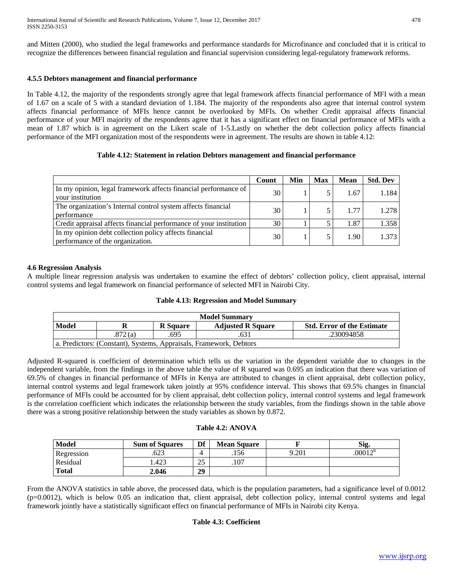and Mitten (2000), who studied the legal frameworks and performance standards for Microfinance and concluded that it is critical to recognize the differences between financial regulation and financial supervision considering legal-regulatory framework reforms.

# **4.5.5 Debtors management and financial performance**

In Table 4.12, the majority of the respondents strongly agree that legal framework affects financial performance of MFI with a mean of 1.67 on a scale of 5 with a standard deviation of 1.184. The majority of the respondents also agree that internal control system affects financial performance of MFIs hence cannot be overlooked by MFIs. On whether Credit appraisal affects financial performance of your MFI majority of the respondents agree that it has a significant effect on financial performance of MFIs with a mean of 1.87 which is in agreement on the Likert scale of 1-5.Lastly on whether the debt collection policy affects financial performance of the MFI organization most of the respondents were in agreement. The results are shown in table 4.12:

#### **Table 4.12: Statement in relation Debtors management and financial performance**

|                                                                                            | Count | Min | <b>Max</b> | <b>Mean</b> | <b>Std. Dev</b> |
|--------------------------------------------------------------------------------------------|-------|-----|------------|-------------|-----------------|
| In my opinion, legal framework affects financial performance of<br>your institution        | 30    |     |            | 1.67        | 1.184           |
| The organization's Internal control system affects financial<br>performance                | 30    |     |            | 1.77        | 1.278           |
| Credit appraisal affects financial performance of your institution                         | 30    |     |            | 1.87        | 1.358           |
| In my opinion debt collection policy affects financial<br>performance of the organization. | 30    |     |            | 1.90        | 1.373           |

# **4.6 Regression Analysis**

A multiple linear regression analysis was undertaken to examine the effect of debtors' collection policy, client appraisal, internal control systems and legal framework on financial performance of selected MFI in Nairobi City.

| Table 4.13: Regression and Model Summary |  |  |  |
|------------------------------------------|--|--|--|
|------------------------------------------|--|--|--|

| <b>Model Summary</b> |                                                                    |                 |                          |                                   |  |  |  |  |
|----------------------|--------------------------------------------------------------------|-----------------|--------------------------|-----------------------------------|--|--|--|--|
| Model                |                                                                    | <b>R</b> Square | <b>Adjusted R Square</b> | <b>Std. Error of the Estimate</b> |  |  |  |  |
|                      | .872(a)                                                            | .695            | .631                     | .230094858                        |  |  |  |  |
|                      | a. Predictors: (Constant), Systems, Appraisals, Framework, Debtors |                 |                          |                                   |  |  |  |  |

Adjusted R-squared is coefficient of determination which tells us the variation in the dependent variable due to changes in the independent variable, from the findings in the above table the value of R squared was 0.695 an indication that there was variation of 69.5% of changes in financial performance of MFIs in Kenya are attributed to changes in client appraisal, debt collection policy, internal control systems and legal framework taken jointly at 95% confidence interval. This shows that 69.5% changes in financial performance of MFIs could be accounted for by client appraisal, debt collection policy, internal control systems and legal framework is the correlation coefficient which indicates the relationship between the study variables, from the findings shown in the table above there was a strong positive relationship between the study variables as shown by 0.872.

# **Table 4.2: ANOVA**

| Model           | <b>Sum of Squares</b> | Df         | <b>Mean Square</b> |       | Sig.       |
|-----------------|-----------------------|------------|--------------------|-------|------------|
| Regression      | .623                  | 4          | .156               | 9.201 | $.00012^b$ |
| <b>Residual</b> | 1.423                 | ኅ 5<br>ل ک | .107               |       |            |
| <b>Total</b>    | 2.046                 | 29         |                    |       |            |

From the ANOVA statistics in table above, the processed data, which is the population parameters, had a significance level of 0.0012 (p=0.0012), which is below 0.05 an indication that, client appraisal, debt collection policy, internal control systems and legal framework jointly have a statistically significant effect on financial performance of MFIs in Nairobi city Kenya.

#### **Table 4.3: Coefficient**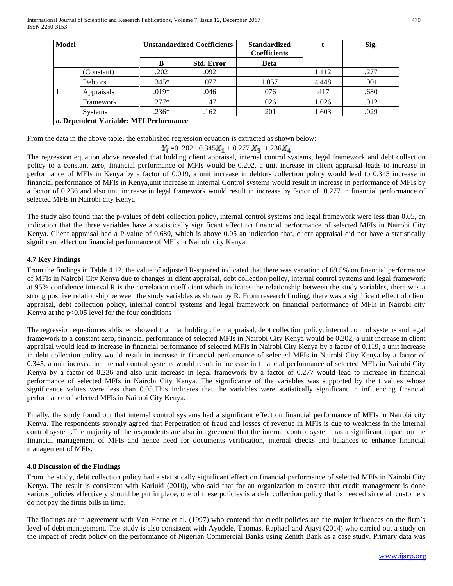| <b>Model</b> |                                        | <b>Unstandardized Coefficients</b> |                   | <b>Standardized</b><br><b>Coefficients</b> |       | Sig. |  |  |  |  |
|--------------|----------------------------------------|------------------------------------|-------------------|--------------------------------------------|-------|------|--|--|--|--|
|              |                                        | R                                  | <b>Std. Error</b> | <b>Beta</b>                                |       |      |  |  |  |  |
|              | (Constant)                             | .202                               | .092              |                                            | 1.112 | .277 |  |  |  |  |
|              | <b>Debtors</b>                         | $.345*$                            | .077              | 1.057                                      | 4.448 | .001 |  |  |  |  |
|              | Appraisals                             | $.019*$                            | .046              | .076                                       | .417  | .680 |  |  |  |  |
|              | Framework                              | $.277*$                            | .147              | .026                                       | 1.026 | .012 |  |  |  |  |
|              | <b>Systems</b>                         | $.236*$                            | .162              | .201                                       | 1.603 | .029 |  |  |  |  |
|              | a. Dependent Variable: MFI Performance |                                    |                   |                                            |       |      |  |  |  |  |

From the data in the above table, the established regression equation is extracted as shown below:

$$
Y_i = 0.202 + 0.345X_1 + 0.277X_3 + 0.236X_4
$$

The regression equation above revealed that holding client appraisal, internal control systems, legal framework and debt collection policy to a constant zero, financial performance of MFIs would be 0.202, a unit increase in client appraisal leads to increase in performance of MFIs in Kenya by a factor of 0.019, a unit increase in debtors collection policy would lead to 0.345 increase in financial performance of MFIs in Kenya,unit increase in Internal Control systems would result in increase in performance of MFIs by a factor of 0.236 and also unit increase in legal framework would result in increase by factor of 0.277 in financial performance of selected MFIs in Nairobi city Kenya.

The study also found that the p-values of debt collection policy, internal control systems and legal framework were less than 0.05, an indication that the three variables have a statistically significant effect on financial performance of selected MFIs in Nairobi City Kenya. Client appraisal had a P-value of 0.680, which is above 0.05 an indication that, client appraisal did not have a statistically significant effect on financial performance of MFIs in Nairobi city Kenya.

# **4.7 Key Findings**

From the findings in Table 4.12, the value of adjusted R-squared indicated that there was variation of 69.5% on financial performance of MFIs in Nairobi City Kenya due to changes in client appraisal, debt collection policy, internal control systems and legal framework at 95% confidence interval.R is the correlation coefficient which indicates the relationship between the study variables, there was a strong positive relationship between the study variables as shown by R. From research finding, there was a significant effect of client appraisal, debt collection policy, internal control systems and legal framework on financial performance of MFIs in Nairobi city Kenya at the p<0.05 level for the four conditions

The regression equation established showed that that holding client appraisal, debt collection policy, internal control systems and legal framework to a constant zero, financial performance of selected MFIs in Nairobi City Kenya would be 0.202, a unit increase in client appraisal would lead to increase in financial performance of selected MFIs in Nairobi City Kenya by a factor of 0.119, a unit increase in debt collection policy would result in increase in financial performance of selected MFIs in Nairobi City Kenya by a factor of 0.345, a unit increase in internal control systems would result in increase in financial performance of selected MFIs in Nairobi City Kenya by a factor of 0.236 and also unit increase in legal framework by a factor of 0.277 would lead to increase in financial performance of selected MFIs in Nairobi City Kenya. The significance of the variables was supported by the t values whose significance values were less than 0.05.This indicates that the variables were statistically significant in influencing financial performance of selected MFIs in Nairobi City Kenya.

Finally, the study found out that internal control systems had a significant effect on financial performance of MFIs in Nairobi city Kenya. The respondents strongly agreed that Perpetration of fraud and losses of revenue in MFIs is due to weakness in the internal control system.The majority of the respondents are also in agreement that the internal control system has a significant impact on the financial management of MFIs and hence need for documents verification, internal checks and balances to enhance financial management of MFIs.

# **4.8 Discussion of the Findings**

From the study, debt collection policy had a statistically significant effect on financial performance of selected MFIs in Nairobi City Kenya. The result is consistent with Kariuki (2010), who said that for an organization to ensure that credit management is done various policies effectively should be put in place, one of these policies is a debt collection policy that is needed since all customers do not pay the firms bills in time.

The findings are in agreement with Van Horne et al. (1997) who contend that credit policies are the major influences on the firm's level of debt management. The study is also consistent with Ayodele, Thomas, Raphael and Ajayi (2014) who carried out a study on the impact of credit policy on the performance of Nigerian Commercial Banks using Zenith Bank as a case study. Primary data was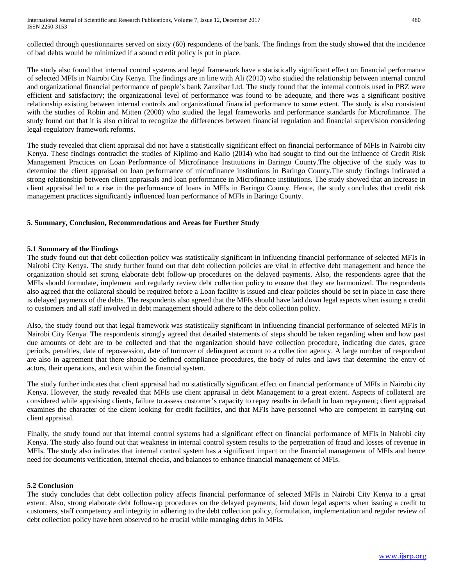collected through questionnaires served on sixty (60) respondents of the bank. The findings from the study showed that the incidence of bad debts would be minimized if a sound credit policy is put in place.

The study also found that internal control systems and legal framework have a statistically significant effect on financial performance of selected MFIs in Nairobi City Kenya. The findings are in line with Ali (2013) who studied the relationship between internal control and organizational financial performance of people's bank Zanzibar Ltd. The study found that the internal controls used in PBZ were efficient and satisfactory; the organizational level of performance was found to be adequate, and there was a significant positive relationship existing between internal controls and organizational financial performance to some extent. The study is also consistent with the studies of Robin and Mitten (2000) who studied the legal frameworks and performance standards for Microfinance. The study found out that it is also critical to recognize the differences between financial regulation and financial supervision considering legal-regulatory framework reforms.

The study revealed that client appraisal did not have a statistically significant effect on financial performance of MFIs in Nairobi city Kenya. These findings contradict the studies of Kiplimo and Kalio (2014) who had sought to find out the Influence of Credit Risk Management Practices on Loan Performance of Microfinance Institutions in Baringo County.The objective of the study was to determine the client appraisal on loan performance of microfinance institutions in Baringo County.The study findings indicated a strong relationship between client appraisals and loan performance in Microfinance institutions. The study showed that an increase in client appraisal led to a rise in the performance of loans in MFIs in Baringo County. Hence, the study concludes that credit risk management practices significantly influenced loan performance of MFIs in Baringo County.

#### **5. Summary, Conclusion, Recommendations and Areas for Further Study**

#### **5.1 Summary of the Findings**

The study found out that debt collection policy was statistically significant in influencing financial performance of selected MFIs in Nairobi City Kenya. The study further found out that debt collection policies are vital in effective debt management and hence the organization should set strong elaborate debt follow-up procedures on the delayed payments. Also, the respondents agree that the MFIs should formulate, implement and regularly review debt collection policy to ensure that they are harmonized. The respondents also agreed that the collateral should be required before a Loan facility is issued and clear policies should be set in place in case there is delayed payments of the debts. The respondents also agreed that the MFIs should have laid down legal aspects when issuing a credit to customers and all staff involved in debt management should adhere to the debt collection policy.

Also, the study found out that legal framework was statistically significant in influencing financial performance of selected MFIs in Nairobi City Kenya. The respondents strongly agreed that detailed statements of steps should be taken regarding when and how past due amounts of debt are to be collected and that the organization should have collection procedure, indicating due dates, grace periods, penalties, date of repossession, date of turnover of delinquent account to a collection agency. A large number of respondent are also in agreement that there should be defined compliance procedures, the body of rules and laws that determine the entry of actors, their operations, and exit within the financial system.

The study further indicates that client appraisal had no statistically significant effect on financial performance of MFIs in Nairobi city Kenya. However, the study revealed that MFIs use client appraisal in debt Management to a great extent. Aspects of collateral are considered while appraising clients, failure to assess customer's capacity to repay results in default in loan repayment; client appraisal examines the character of the client looking for credit facilities, and that MFIs have personnel who are competent in carrying out client appraisal.

Finally, the study found out that internal control systems had a significant effect on financial performance of MFIs in Nairobi city Kenya. The study also found out that weakness in internal control system results to the perpetration of fraud and losses of revenue in MFIs. The study also indicates that internal control system has a significant impact on the financial management of MFIs and hence need for documents verification, internal checks, and balances to enhance financial management of MFIs.

#### **5.2 Conclusion**

The study concludes that debt collection policy affects financial performance of selected MFIs in Nairobi City Kenya to a great extent. Also, strong elaborate debt follow-up procedures on the delayed payments, laid down legal aspects when issuing a credit to customers, staff competency and integrity in adhering to the debt collection policy, formulation, implementation and regular review of debt collection policy have been observed to be crucial while managing debts in MFIs.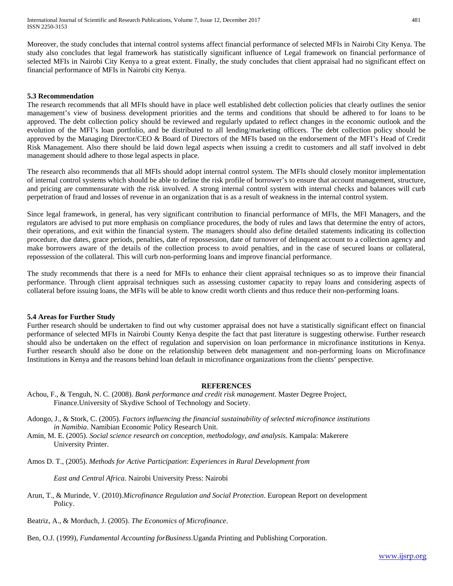Moreover, the study concludes that internal control systems affect financial performance of selected MFIs in Nairobi City Kenya. The study also concludes that legal framework has statistically significant influence of Legal framework on financial performance of selected MFIs in Nairobi City Kenya to a great extent. Finally, the study concludes that client appraisal had no significant effect on financial performance of MFIs in Nairobi city Kenya.

#### **5.3 Recommendation**

The research recommends that all MFIs should have in place well established debt collection policies that clearly outlines the senior management's view of business development priorities and the terms and conditions that should be adhered to for loans to be approved. The debt collection policy should be reviewed and regularly updated to reflect changes in the economic outlook and the evolution of the MFI's loan portfolio, and be distributed to all lending/marketing officers. The debt collection policy should be approved by the Managing Director/CEO & Board of Directors of the MFIs based on the endorsement of the MFI's Head of Credit Risk Management. Also there should be laid down legal aspects when issuing a credit to customers and all staff involved in debt management should adhere to those legal aspects in place.

The research also recommends that all MFIs should adopt internal control system. The MFIs should closely monitor implementation of internal control systems which should be able to define the risk profile of borrower's to ensure that account management, structure, and pricing are commensurate with the risk involved. A strong internal control system with internal checks and balances will curb perpetration of fraud and losses of revenue in an organization that is as a result of weakness in the internal control system.

Since legal framework, in general, has very significant contribution to financial performance of MFIs, the MFI Managers, and the regulators are advised to put more emphasis on compliance procedures, the body of rules and laws that determine the entry of actors, their operations, and exit within the financial system. The managers should also define detailed statements indicating its collection procedure, due dates, grace periods, penalties, date of repossession, date of turnover of delinquent account to a collection agency and make borrowers aware of the details of the collection process to avoid penalties, and in the case of secured loans or collateral, repossession of the collateral. This will curb non-performing loans and improve financial performance.

The study recommends that there is a need for MFIs to enhance their client appraisal techniques so as to improve their financial performance. Through client appraisal techniques such as assessing customer capacity to repay loans and considering aspects of collateral before issuing loans, the MFIs will be able to know credit worth clients and thus reduce their non-performing loans.

#### **5.4 Areas for Further Study**

Further research should be undertaken to find out why customer appraisal does not have a statistically significant effect on financial performance of selected MFIs in Nairobi County Kenya despite the fact that past literature is suggesting otherwise. Further research should also be undertaken on the effect of regulation and supervision on loan performance in microfinance institutions in Kenya. Further research should also be done on the relationship between debt management and non-performing loans on Microfinance Institutions in Kenya and the reasons behind loan default in microfinance organizations from the clients' perspective.

#### **REFERENCES**

- Achou, F., & Tenguh, N. C. (2008). *Bank performance and credit risk management*. Master Degree Project, Finance.University of Skydive School of Technology and Society.
- Adongo, J., & Stork, C. (2005). *Factors influencing the financial sustainability of selected microfinance institutions in Namibia*. Namibian Economic Policy Research Unit.
- Amin, M. E. (2005). *Social science research on conception, methodology, and analysis*. Kampala: Makerere University Printer.
- Amos D. T., (2005). *Methods for Active Participation*: *Experiences in Rural Development from*

*East and Central Africa.* Nairobi University Press: Nairobi

Arun, T., & Murinde, V. (2010).*Microfinance Regulation and Social Protection*. European Report on development Policy.

Beatriz, A., & Morduch, J. (2005). *The Economics of Microfinance*.

Ben, O.J. (1999), *Fundamental Accounting forBusiness*.Uganda Printing and Publishing Corporation.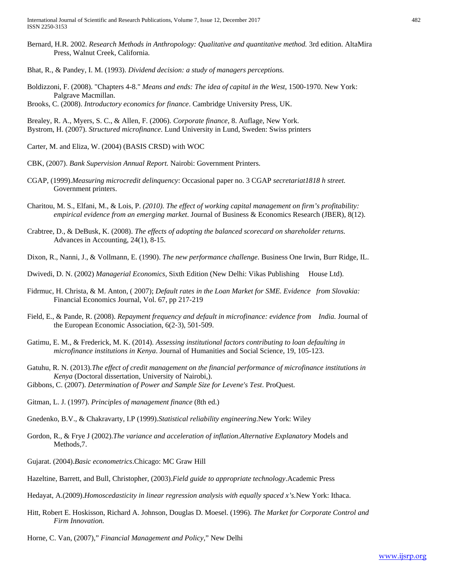Bernard, H.R. 2002. *Research Methods in Anthropology: Qualitative and quantitative method.* 3rd edition. AltaMira Press, Walnut Creek, California.

Bhat, R., & Pandey, I. M. (1993). *Dividend decision: a study of managers perceptions.*

Boldizzoni, F. (2008). "Chapters 4-8." *Means and ends: The idea of capital in the West*, 1500-1970. New York: Palgrave Macmillan. Brooks, C. (2008). *Introductory economics for finance*. Cambridge University Press, UK.

Brealey, R. A., Myers, S. C., & Allen, F. (2006). *Corporate finance,* 8. Auflage, New York. Bystrom, H. (2007). *Structured microfinance*. Lund University in Lund, Sweden: Swiss printers

Carter, M. and Eliza, W. (2004) (BASIS CRSD) with WOC

- CBK, (2007). *Bank Supervision Annual Report.* Nairobi: Government Printers.
- CGAP, (1999).*Measuring microcredit delinquency*: Occasional paper no. 3 CGAP *secretariat1818 h street.*  Government printers.
- Charitou, M. S., Elfani, M., & Lois, P. *(2010). The effect of working capital management on firm's profitability: empirical evidence from an emerging market*. Journal of Business & Economics Research (JBER), 8(12).
- Crabtree, D., & DeBusk, K. (2008). *The effects of adopting the balanced scorecard on shareholder returns.* Advances in Accounting, 24(1), 8-15.
- Dixon, R., Nanni, J., & Vollmann, E. (1990). *The new performance challenge*. Business One Irwin, Burr Ridge, IL.
- Dwivedi, D. N. (2002) *Managerial Economics*, Sixth Edition (New Delhi: Vikas Publishing House Ltd).
- Fidrmuc, H. Christa, & M. Anton, ( 2007); *Default rates in the Loan Market for SME. Evidence from Slovakia:* Financial Economics Journal, Vol. 67, pp 217-219
- Field, E., & Pande, R. (2008). *Repayment frequency and default in microfinance: evidence from India.* Journal of the European Economic Association, 6(2‐3), 501-509.
- Gatimu, E. M., & Frederick, M. K. (2014). *Assessing institutional factors contributing to loan defaulting in microfinance institutions in Kenya*. Journal of Humanities and Social Science, 19, 105-123.
- Gatuhu, R. N. (2013).*The effect of credit management on the financial performance of microfinance institutions in Kenya* (Doctoral dissertation, University of Nairobi,). Gibbons, C. (2007). *Determination of Power and Sample Size for Levene's Test*. ProQuest.
- Gitman, L. J. (1997). *Principles of management finance* (8th ed.)
- Gnedenko, B.V., & Chakravarty, I.P (1999).*Statistical reliability engineering*.New York: Wiley
- Gordon, R., & Frye J (2002).*The variance and acceleration of inflation.Alternative Explanatory* Models and Methods,7.
- Gujarat. (2004).*Basic econometrics*.Chicago: MC Graw Hill
- Hazeltine, Barrett, and Bull, Christopher, (2003).*Field guide to appropriate technology*.Academic Press
- Hedayat, A.(2009).*Homoscedasticity in linear regression analysis with equally spaced x's.*New York: Ithaca.
- Hitt, Robert E. Hoskisson, Richard A. Johnson, Douglas D. Moesel. (1996). *The Market for Corporate Control and Firm Innovation.*
- Horne, C. Van, (2007)," *Financial Management and Policy*," New Delhi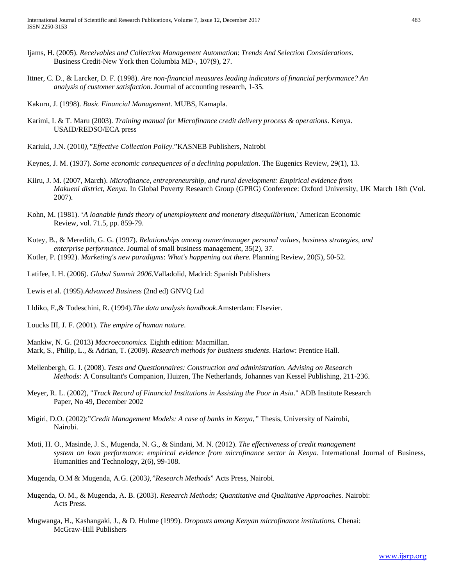- Ijams, H. (2005). *Receivables and Collection Management Automation*: *Trends And Selection Considerations.* Business Credit-New York then Columbia MD-, 107(9), 27.
- Ittner, C. D., & Larcker, D. F. (1998). *Are non-financial measures leading indicators of financial performance? An analysis of customer satisfaction*. Journal of accounting research, 1-35.
- Kakuru, J. (1998). *Basic Financial Management*. MUBS, Kamapla.
- Karimi, I. & T. Maru (2003). *Training manual for Microfinance credit delivery process & operations*. Kenya. USAID/REDSO/ECA press
- Kariuki, J.N. (2010*),"Effective Collection Policy*."KASNEB Publishers, Nairobi
- Keynes, J. M. (1937). *Some economic consequences of a declining population*. The Eugenics Review, 29(1), 13.
- Kiiru, J. M. (2007, March). *Microfinance, entrepreneurship, and rural development: Empirical evidence from Makueni district, Kenya*. In Global Poverty Research Group (GPRG) Conference: Oxford University, UK March 18th (Vol. 2007).
- Kohn, M. (1981). '*A loanable funds theory of unemployment and monetary disequilibrium*,' American Economic Review, vol. 71.5, pp. 859-79.
- Kotey, B., & Meredith, G. G. (1997). *Relationships among owner/manager personal values, business strategies, and enterprise performance*. Journal of small business management, 35(2), 37.
- Kotler, P. (1992). *Marketing's new paradigms*: *What's happening out there.* Planning Review, 20(5), 50-52.
- Latifee, I. H. (2006). *Global Summit 2006*.Valladolid, Madrid: Spanish Publishers
- Lewis et al. (1995).*Advanced Business* (2nd ed) GNVQ Ltd
- Lldiko, F.,& Todeschini, R. (1994).*The data analysis handbook*.Amsterdam: Elsevier.
- Loucks III, J. F. (2001). *The empire of human nature*.
- Mankiw, N. G. (2013) *Macroeconomics.* Eighth edition: Macmillan. Mark, S., Philip, L., & Adrian, T. (2009). *Research methods for business students*. Harlow: Prentice Hall.
- Mellenbergh, G. J. (2008). *Tests and Questionnaires: Construction and administration. Advising on Research Methods:* A Consultant's Companion, Huizen, The Netherlands, Johannes van Kessel Publishing, 211-236.
- Meyer, R. L. (2002), "*Track Record of Financial Institutions in Assisting the Poor in Asia*." ADB Institute Research Paper, No 49, December 2002
- Migiri, D.O. (2002):"*Credit Management Models: A case of banks in Kenya,"* Thesis, University of Nairobi, Nairobi.
- Moti, H. O., Masinde, J. S., Mugenda, N. G., & Sindani, M. N. (2012). *The effectiveness of credit management system on loan performance: empirical evidence from microfinance sector in Kenya*. International Journal of Business, Humanities and Technology, 2(6), 99-108.
- Mugenda, O.M & Mugenda, A.G. (2003*),"Research Methods*" Acts Press, Nairobi.
- Mugenda, O. M., & Mugenda, A. B. (2003). *Research Methods; Quantitative and Qualitative Approaches.* Nairobi: Acts Press.
- Mugwanga, H., Kashangaki, J., & D. Hulme (1999). *Dropouts among Kenyan microfinance institutions.* Chenai: McGraw-Hill Publishers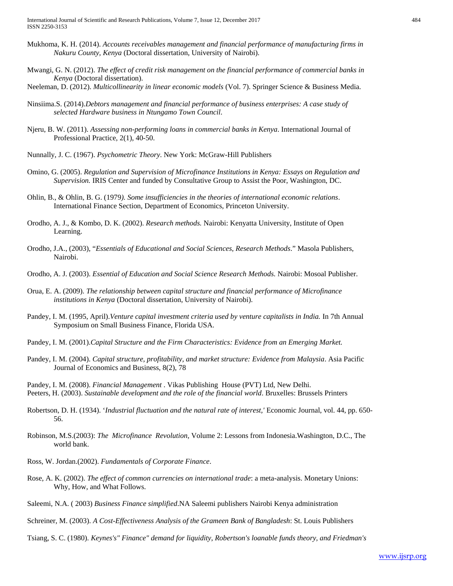- Mukhoma, K. H. (2014). *Accounts receivables management and financial performance of manufacturing firms in Nakuru County, Kenya* (Doctoral dissertation, University of Nairobi).
- Mwangi, G. N. (2012). *The effect of credit risk management on the financial performance of commercial banks in Kenya* (Doctoral dissertation).
- Neeleman, D. (2012). *Multicollinearity in linear economic models* (Vol. 7). Springer Science & Business Media.
- Ninsiima.S. (2014).*Debtors management and financial performance of business enterprises: A case study of selected Hardware business in Ntungamo Town Council*.
- Njeru, B. W. (2011). *Assessing non-performing loans in commercial banks in Kenya*. International Journal of Professional Practice, 2(1), 40-50.
- Nunnally, J. C. (1967). *Psychometric Theory*. New York: McGraw-Hill Publishers
- Omino, G. (2005). *Regulation and Supervision of Microfinance Institutions in Kenya: Essays on Regulation and Supervision.* IRIS Center and funded by Consultative Group to Assist the Poor, Washington, DC.
- Ohlin, B., & Ohlin, B. G. (1979*). Some insufficiencies in the theories of international economic relations*. International Finance Section, Department of Economics, Princeton University.
- Orodho, A. J., & Kombo, D. K. (2002). *Research methods.* Nairobi: Kenyatta University, Institute of Open Learning.
- Orodho, J.A., (2003), "*Essentials of Educational and Social Sciences, Research Methods*." Masola Publishers, Nairobi.
- Orodho, A. J. (2003). *Essential of Education and Social Science Research Methods.* Nairobi: Mosoal Publisher.
- Orua, E. A. (2009). *The relationship between capital structure and financial performance of Microfinance institutions in Kenya* (Doctoral dissertation, University of Nairobi).
- Pandey, I. M. (1995, April).*Venture capital investment criteria used by venture capitalists in India.* In 7th Annual Symposium on Small Business Finance, Florida USA.
- Pandey, I. M. (2001).*Capital Structure and the Firm Characteristics: Evidence from an Emerging Market.*
- Pandey, I. M. (2004). *Capital structure, profitability, and market structure: Evidence from Malaysia*. Asia Pacific Journal of Economics and Business, 8(2), 78
- Pandey, I. M. (2008). *Financial Management* . Vikas Publishing House (PVT) Ltd, New Delhi. Peeters, H. (2003). *Sustainable development and the role of the financial world*. Bruxelles: Brussels Printers
- Robertson, D. H. (1934). '*Industrial fluctuation and the natural rate of interest,'* Economic Journal, vol. 44, pp. 650- 56.
- Robinson, M.S.(2003): *The Microfinance Revolution,* Volume 2: Lessons from Indonesia.Washington, D.C., The world bank.
- Ross, W. Jordan.(2002). *Fundamentals of Corporate Finance*.
- Rose, A. K. (2002). *The effect of common currencies on international trade*: a meta-analysis. Monetary Unions: Why, How, and What Follows.
- Saleemi, N.A. ( 2003) *Business Finance simplified*.NA Saleemi publishers Nairobi Kenya administration
- Schreiner, M. (2003). *A Cost-Effectiveness Analysis of the Grameen Bank of Bangladesh*: St. Louis Publishers
- Tsiang, S. C. (1980). *Keynes's" Finance" demand for liquidity*, *Robertson's loanable funds theory, and Friedman's*